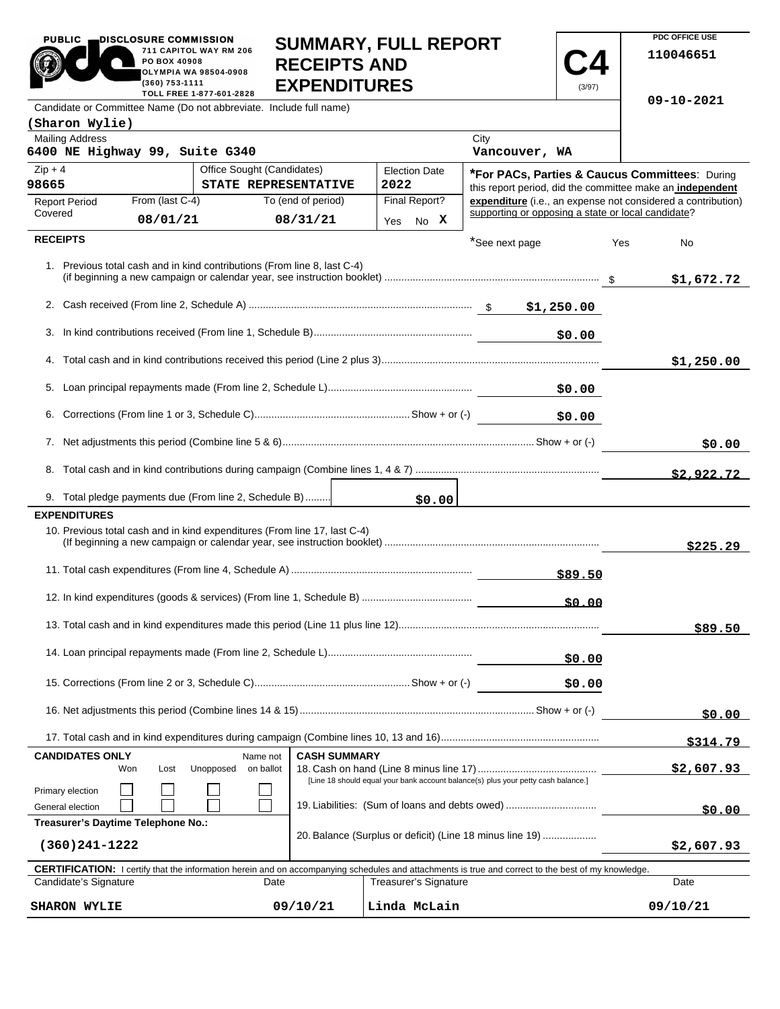| <b>PUBLIC</b>                                                                                      | DISCLOSURE COMMISSION<br>PO BOX 40908<br>(360) 753-1111                                                                                                            | 711 CAPITOL WAY RM 206<br>OLYMPIA WA 98504-0908<br>TOLL FREE 1-877-601-2828 | <b>SUMMARY, FULL REPORT</b><br><b>RECEIPTS AND</b><br><b>EXPENDITURES</b> |                                                                                   |                      |                              |                                                    | (3/97)  |            | PDC OFFICE USE<br>110046651                                  |  |
|----------------------------------------------------------------------------------------------------|--------------------------------------------------------------------------------------------------------------------------------------------------------------------|-----------------------------------------------------------------------------|---------------------------------------------------------------------------|-----------------------------------------------------------------------------------|----------------------|------------------------------|----------------------------------------------------|---------|------------|--------------------------------------------------------------|--|
| Candidate or Committee Name (Do not abbreviate. Include full name)                                 |                                                                                                                                                                    |                                                                             |                                                                           |                                                                                   |                      |                              |                                                    |         |            | 09-10-2021                                                   |  |
| (Sharon Wylie)                                                                                     |                                                                                                                                                                    |                                                                             |                                                                           |                                                                                   |                      |                              |                                                    |         |            |                                                              |  |
| <b>Mailing Address</b><br>6400 NE Highway 99, Suite G340                                           |                                                                                                                                                                    |                                                                             |                                                                           |                                                                                   |                      |                              | City<br>Vancouver, WA                              |         |            |                                                              |  |
| $Zip + 4$<br>Office Sought (Candidates)                                                            |                                                                                                                                                                    |                                                                             |                                                                           |                                                                                   | <b>Election Date</b> |                              |                                                    |         |            | *For PACs, Parties & Caucus Committees: During               |  |
| 98665                                                                                              |                                                                                                                                                                    | STATE REPRESENTATIVE                                                        |                                                                           |                                                                                   | 2022                 |                              |                                                    |         |            | this report period, did the committee make an independent    |  |
| <b>Report Period</b><br>Covered                                                                    | From (last C-4)                                                                                                                                                    |                                                                             | To (end of period)                                                        |                                                                                   | Final Report?        |                              | supporting or opposing a state or local candidate? |         |            | expenditure (i.e., an expense not considered a contribution) |  |
|                                                                                                    | 08/01/21                                                                                                                                                           |                                                                             | 08/31/21                                                                  |                                                                                   | Yes                  | No X                         |                                                    |         |            |                                                              |  |
| <b>RECEIPTS</b>                                                                                    |                                                                                                                                                                    |                                                                             |                                                                           |                                                                                   |                      |                              | *See next page                                     |         | Yes        | No                                                           |  |
| 1. Previous total cash and in kind contributions (From line 8, last C-4)                           |                                                                                                                                                                    |                                                                             |                                                                           |                                                                                   |                      |                              |                                                    |         |            | \$1,672.72                                                   |  |
|                                                                                                    |                                                                                                                                                                    |                                                                             |                                                                           |                                                                                   |                      |                              |                                                    |         |            |                                                              |  |
| \$0.00                                                                                             |                                                                                                                                                                    |                                                                             |                                                                           |                                                                                   |                      |                              |                                                    |         |            |                                                              |  |
|                                                                                                    |                                                                                                                                                                    |                                                                             |                                                                           |                                                                                   |                      |                              |                                                    |         |            |                                                              |  |
|                                                                                                    |                                                                                                                                                                    |                                                                             |                                                                           |                                                                                   |                      |                              |                                                    |         |            | \$1,250.00                                                   |  |
| \$0.00                                                                                             |                                                                                                                                                                    |                                                                             |                                                                           |                                                                                   |                      |                              |                                                    |         |            |                                                              |  |
| \$0.00                                                                                             |                                                                                                                                                                    |                                                                             |                                                                           |                                                                                   |                      |                              |                                                    |         |            |                                                              |  |
|                                                                                                    |                                                                                                                                                                    |                                                                             |                                                                           |                                                                                   |                      |                              |                                                    |         |            | \$0.00                                                       |  |
|                                                                                                    |                                                                                                                                                                    |                                                                             |                                                                           |                                                                                   |                      |                              |                                                    |         |            |                                                              |  |
|                                                                                                    |                                                                                                                                                                    |                                                                             |                                                                           |                                                                                   |                      |                              |                                                    |         |            | \$2,922.72                                                   |  |
| 9. Total pledge payments due (From line 2, Schedule B)                                             |                                                                                                                                                                    |                                                                             |                                                                           |                                                                                   |                      | \$0.00                       |                                                    |         |            |                                                              |  |
| <b>EXPENDITURES</b><br>10. Previous total cash and in kind expenditures (From line 17, last C-4)   |                                                                                                                                                                    |                                                                             |                                                                           |                                                                                   |                      |                              |                                                    |         |            |                                                              |  |
|                                                                                                    |                                                                                                                                                                    |                                                                             |                                                                           |                                                                                   |                      |                              |                                                    |         |            | \$225.29                                                     |  |
|                                                                                                    |                                                                                                                                                                    |                                                                             |                                                                           |                                                                                   |                      |                              |                                                    |         |            |                                                              |  |
|                                                                                                    |                                                                                                                                                                    |                                                                             |                                                                           |                                                                                   |                      |                              |                                                    | \$89.50 |            |                                                              |  |
|                                                                                                    |                                                                                                                                                                    |                                                                             |                                                                           |                                                                                   |                      |                              |                                                    | \$0.00  |            |                                                              |  |
|                                                                                                    |                                                                                                                                                                    |                                                                             |                                                                           |                                                                                   |                      |                              |                                                    |         |            | \$89.50                                                      |  |
|                                                                                                    |                                                                                                                                                                    |                                                                             |                                                                           |                                                                                   |                      |                              |                                                    |         |            |                                                              |  |
| \$0.00                                                                                             |                                                                                                                                                                    |                                                                             |                                                                           |                                                                                   |                      |                              |                                                    |         |            |                                                              |  |
| \$0.00                                                                                             |                                                                                                                                                                    |                                                                             |                                                                           |                                                                                   |                      |                              |                                                    |         |            |                                                              |  |
|                                                                                                    |                                                                                                                                                                    |                                                                             |                                                                           |                                                                                   |                      |                              |                                                    |         |            |                                                              |  |
|                                                                                                    |                                                                                                                                                                    |                                                                             |                                                                           |                                                                                   |                      |                              |                                                    |         |            | \$0.00                                                       |  |
|                                                                                                    |                                                                                                                                                                    |                                                                             |                                                                           |                                                                                   |                      |                              |                                                    |         |            | <u>\$314.79</u>                                              |  |
| <b>CASH SUMMARY</b><br><b>CANDIDATES ONLY</b><br>Name not<br>Unopposed<br>on ballot<br>Won<br>Lost |                                                                                                                                                                    |                                                                             |                                                                           |                                                                                   |                      |                              |                                                    |         |            | \$2,607.93                                                   |  |
| Primary election                                                                                   |                                                                                                                                                                    |                                                                             |                                                                           | [Line 18 should equal your bank account balance(s) plus your petty cash balance.] |                      |                              |                                                    |         |            |                                                              |  |
| General election                                                                                   |                                                                                                                                                                    |                                                                             |                                                                           |                                                                                   |                      | \$0.00                       |                                                    |         |            |                                                              |  |
| 19. Liabilities: (Sum of loans and debts owed)<br>Treasurer's Daytime Telephone No.:               |                                                                                                                                                                    |                                                                             |                                                                           |                                                                                   |                      |                              |                                                    |         |            |                                                              |  |
| 20. Balance (Surplus or deficit) (Line 18 minus line 19)<br>$(360)241 - 1222$                      |                                                                                                                                                                    |                                                                             |                                                                           |                                                                                   |                      |                              |                                                    |         | \$2,607.93 |                                                              |  |
|                                                                                                    |                                                                                                                                                                    |                                                                             |                                                                           |                                                                                   |                      |                              |                                                    |         |            |                                                              |  |
| Candidate's Signature                                                                              | <b>CERTIFICATION:</b> I certify that the information herein and on accompanying schedules and attachments is true and correct to the best of my knowledge.<br>Date |                                                                             |                                                                           |                                                                                   |                      | <b>Treasurer's Signature</b> |                                                    |         |            | Date                                                         |  |
| 09/10/21<br><b>SHARON WYLIE</b>                                                                    |                                                                                                                                                                    |                                                                             |                                                                           |                                                                                   |                      | Linda McLain                 |                                                    |         |            | 09/10/21                                                     |  |